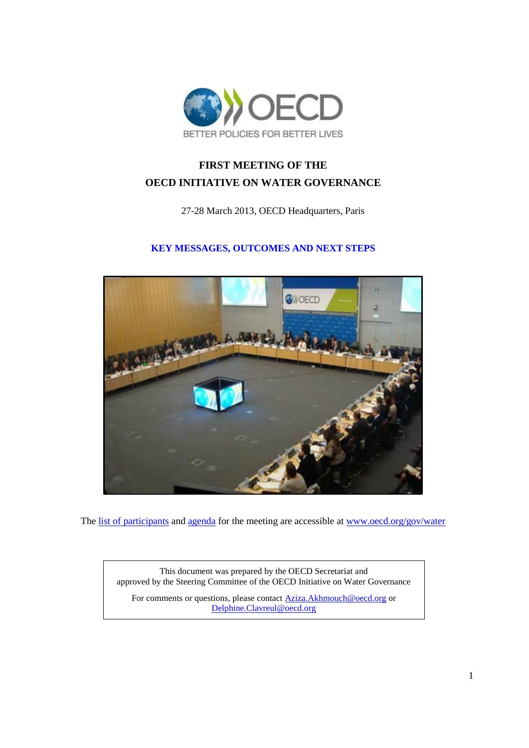

# **FIRST MEETING OF THE OECD INITIATIVE ON WATER GOVERNANCE**

27-28 March 2013, OECD Headquarters, Paris

## **KEY MESSAGES, OUTCOMES AND NEXT STEPS**



The [list of participants](http://www.oecd.org/gov/regional-policy/WGI%20Launch%20event_List%20of%20Participants_final.pdf) and [agenda](http://www.oecd.org/gov/regional-policy/Water%20Governance%20Initiative_%20Agenda%20final%20version.pdf) for the meeting are accessible a[t www.oecd.org/gov/water](http://www.oecd.org/gov/water)

This document was prepared by the OECD Secretariat and approved by the Steering Committee of the OECD Initiative on Water Governance

For comments or questions, please contac[t Aziza.Akhmouch@oecd.org](mailto:Aziza.Akhmouch@oecd.org) or [Delphine.Clavreul@oecd.org](mailto:Delphine.Clavreul@oecd.org)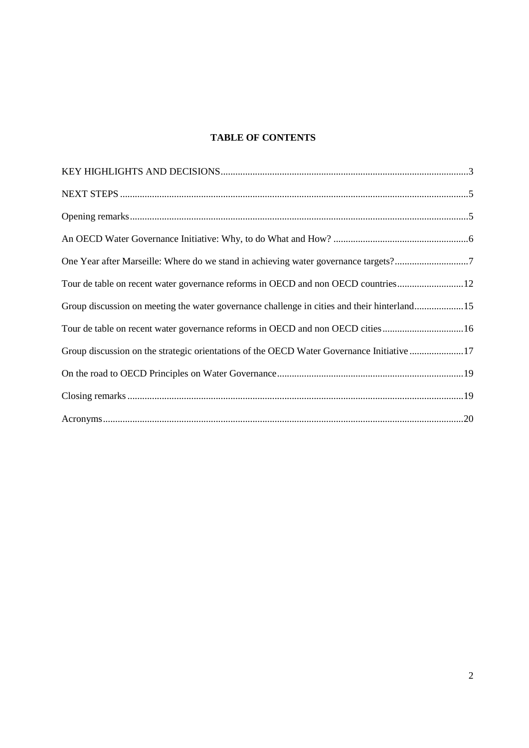## **TABLE OF CONTENTS**

| One Year after Marseille: Where do we stand in achieving water governance targets?7         |  |
|---------------------------------------------------------------------------------------------|--|
| Tour de table on recent water governance reforms in OECD and non OECD countries12           |  |
| Group discussion on meeting the water governance challenge in cities and their hinterland15 |  |
| Tour de table on recent water governance reforms in OECD and non OECD cities 16             |  |
| Group discussion on the strategic orientations of the OECD Water Governance Initiative 17   |  |
|                                                                                             |  |
|                                                                                             |  |
|                                                                                             |  |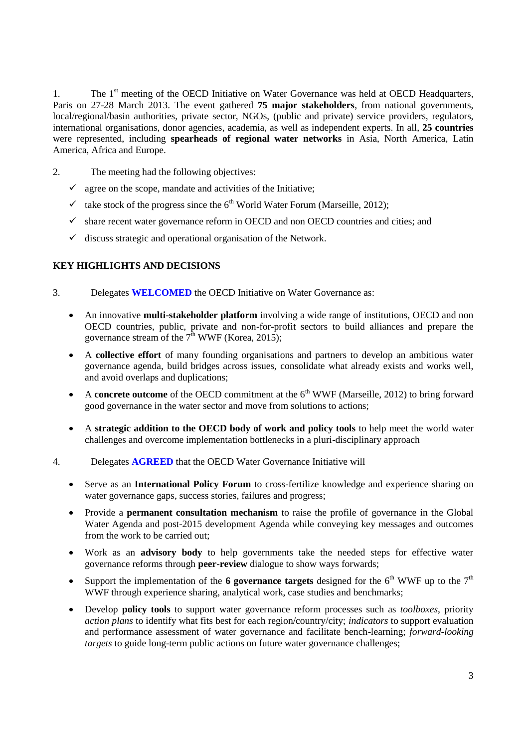1. The 1<sup>st</sup> meeting of the OECD Initiative on Water Governance was held at OECD Headquarters, Paris on 27-28 March 2013. The event gathered **75 major stakeholders**, from national governments, local/regional/basin authorities, private sector, NGOs, (public and private) service providers, regulators, international organisations, donor agencies, academia, as well as independent experts. In all, **25 countries** were represented, including **spearheads of regional water networks** in Asia, North America, Latin America, Africa and Europe.

- 2. The meeting had the following objectives:
	- $\checkmark$  agree on the scope, mandate and activities of the Initiative;
	- $\checkmark$  take stock of the progress since the 6<sup>th</sup> World Water Forum (Marseille, 2012);
	- $\checkmark$  share recent water governance reform in OECD and non OECD countries and cities; and
	- $\checkmark$  discuss strategic and operational organisation of the Network.

## <span id="page-2-0"></span>**KEY HIGHLIGHTS AND DECISIONS**

- 3. Delegates **WELCOMED** the OECD Initiative on Water Governance as:
	- An innovative **multi-stakeholder platform** involving a wide range of institutions, OECD and non OECD countries, public, private and non-for-profit sectors to build alliances and prepare the governance stream of the  $7^{\text{th}}$  WWF (Korea, 2015);
	- A **collective effort** of many founding organisations and partners to develop an ambitious water governance agenda, build bridges across issues, consolidate what already exists and works well, and avoid overlaps and duplications;
	- A **concrete outcome** of the OECD commitment at the  $6<sup>th</sup>$  WWF (Marseille, 2012) to bring forward good governance in the water sector and move from solutions to actions;
	- A **strategic addition to the OECD body of work and policy tools** to help meet the world water challenges and overcome implementation bottlenecks in a pluri-disciplinary approach
- 4. Delegates **AGREED** that the OECD Water Governance Initiative will
	- Serve as an **International Policy Forum** to cross-fertilize knowledge and experience sharing on water governance gaps, success stories, failures and progress;
	- Provide a **permanent consultation mechanism** to raise the profile of governance in the Global Water Agenda and post-2015 development Agenda while conveying key messages and outcomes from the work to be carried out;
	- Work as an **advisory body** to help governments take the needed steps for effective water governance reforms through **peer-review** dialogue to show ways forwards;
	- Support the implementation of the **6 governance targets** designed for the  $6<sup>th</sup>$  WWF up to the  $7<sup>th</sup>$ WWF through experience sharing, analytical work, case studies and benchmarks;
	- Develop **policy tools** to support water governance reform processes such as *toolboxes*, priority *action plans* to identify what fits best for each region/country/city; *indicators* to support evaluation and performance assessment of water governance and facilitate bench-learning; *forward-looking targets* to guide long-term public actions on future water governance challenges;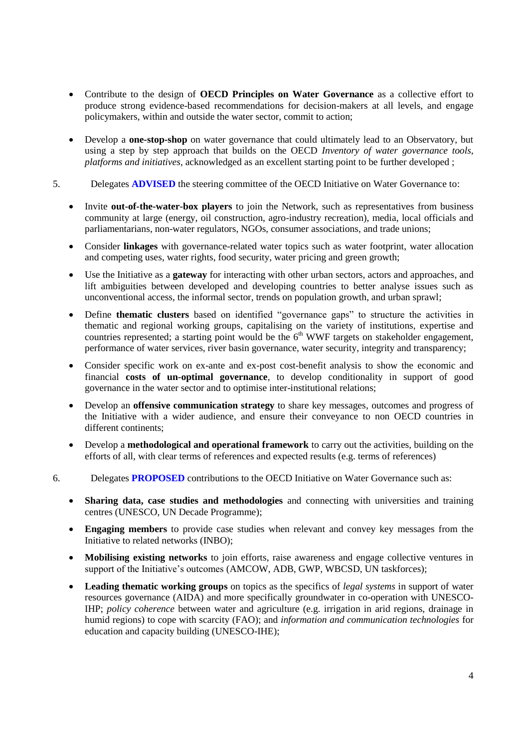- Contribute to the design of **OECD Principles on Water Governance** as a collective effort to produce strong evidence-based recommendations for decision-makers at all levels, and engage policymakers, within and outside the water sector, commit to action;
- Develop a **one-stop-shop** on water governance that could ultimately lead to an Observatory, but using a step by step approach that builds on the OECD *Inventory of water governance tools, platforms and initiatives*, acknowledged as an excellent starting point to be further developed ;
- 5. Delegates **ADVISED** the steering committee of the OECD Initiative on Water Governance to:
	- Invite **out-of-the-water-box players** to join the Network, such as representatives from business community at large (energy, oil construction, agro-industry recreation), media, local officials and parliamentarians, non-water regulators, NGOs, consumer associations, and trade unions;
	- Consider **linkages** with governance-related water topics such as water footprint, water allocation and competing uses, water rights, food security, water pricing and green growth;
	- Use the Initiative as a **gateway** for interacting with other urban sectors, actors and approaches, and lift ambiguities between developed and developing countries to better analyse issues such as unconventional access, the informal sector, trends on population growth, and urban sprawl;
	- Define **thematic clusters** based on identified "governance gaps" to structure the activities in thematic and regional working groups, capitalising on the variety of institutions, expertise and countries represented; a starting point would be the  $6<sup>th</sup>$  WWF targets on stakeholder engagement, performance of water services, river basin governance, water security, integrity and transparency;
	- Consider specific work on ex-ante and ex-post cost-benefit analysis to show the economic and financial **costs of un-optimal governance**, to develop conditionality in support of good governance in the water sector and to optimise inter-institutional relations;
	- Develop an **offensive communication strategy** to share key messages, outcomes and progress of the Initiative with a wider audience, and ensure their conveyance to non OECD countries in different continents;
	- Develop a **methodological and operational framework** to carry out the activities, building on the efforts of all, with clear terms of references and expected results (e.g. terms of references)
- 6. Delegates **PROPOSED** contributions to the OECD Initiative on Water Governance such as:
	- **Sharing data, case studies and methodologies** and connecting with universities and training centres (UNESCO, UN Decade Programme);
	- **Engaging members** to provide case studies when relevant and convey key messages from the Initiative to related networks (INBO);
	- **Mobilising existing networks** to join efforts, raise awareness and engage collective ventures in support of the Initiative's outcomes (AMCOW, ADB, GWP, WBCSD, UN taskforces);
	- **Leading thematic working groups** on topics as the specifics of *legal systems* in support of water resources governance (AIDA) and more specifically groundwater in co-operation with UNESCO-IHP; *policy coherence* between water and agriculture (e.g. irrigation in arid regions, drainage in humid regions) to cope with scarcity (FAO); and *information and communication technologies* for education and capacity building (UNESCO-IHE);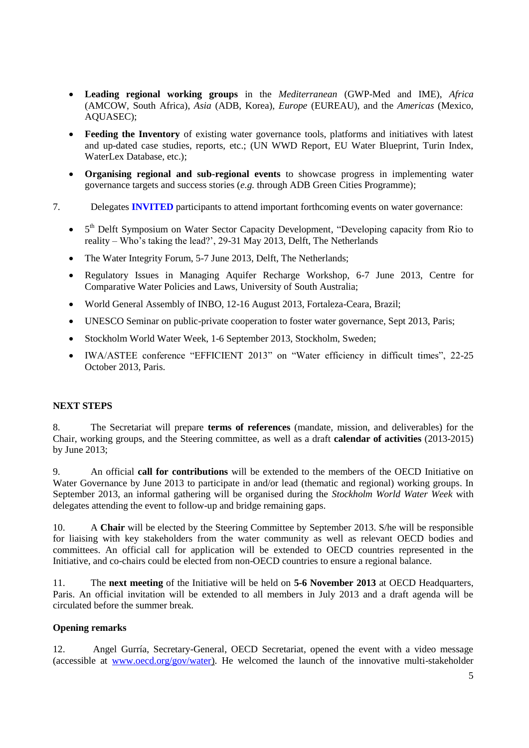- **Leading regional working groups** in the *Mediterranean* (GWP-Med and IME), *Africa* (AMCOW, South Africa), *Asia* (ADB, Korea), *Europe* (EUREAU), and the *Americas* (Mexico, AQUASEC);
- **Feeding the Inventory** of existing water governance tools, platforms and initiatives with latest and up-dated case studies, reports, etc.; (UN WWD Report, EU Water Blueprint, Turin Index, WaterLex Database, etc.);
- **Organising regional and sub-regional events** to showcase progress in implementing water governance targets and success stories (*e.g.* through ADB Green Cities Programme);
- 7. Delegates **INVITED** participants to attend important forthcoming events on water governance:
	- 5<sup>th</sup> Delft Symposium on Water Sector Capacity Development, "Developing capacity from Rio to reality – Who's taking the lead?', 29-31 May 2013, Delft, The Netherlands
	- The Water Integrity Forum, 5-7 June 2013, Delft, The Netherlands;
	- Regulatory Issues in Managing Aquifer Recharge Workshop, 6-7 June 2013, Centre for Comparative Water Policies and Laws, University of South Australia;
	- World General Assembly of INBO, 12-16 August 2013, Fortaleza-Ceara, Brazil;
	- UNESCO Seminar on public-private cooperation to foster water governance, Sept 2013, Paris;
	- Stockholm World Water Week, 1-6 September 2013, Stockholm, Sweden;
	- IWA/ASTEE conference "EFFICIENT 2013" on "Water efficiency in difficult times", 22-25 October 2013, Paris.

### <span id="page-4-0"></span>**NEXT STEPS**

8. The Secretariat will prepare **terms of references** (mandate, mission, and deliverables) for the Chair, working groups, and the Steering committee, as well as a draft **calendar of activities** (2013-2015) by June 2013;

9. An official **call for contributions** will be extended to the members of the OECD Initiative on Water Governance by June 2013 to participate in and/or lead (thematic and regional) working groups. In September 2013, an informal gathering will be organised during the *Stockholm World Water Week* with delegates attending the event to follow-up and bridge remaining gaps.

10. A **Chair** will be elected by the Steering Committee by September 2013. S/he will be responsible for liaising with key stakeholders from the water community as well as relevant OECD bodies and committees. An official call for application will be extended to OECD countries represented in the Initiative, and co-chairs could be elected from non-OECD countries to ensure a regional balance.

11. The **next meeting** of the Initiative will be held on **5-6 November 2013** at OECD Headquarters, Paris. An official invitation will be extended to all members in July 2013 and a draft agenda will be circulated before the summer break.

#### <span id="page-4-1"></span>**Opening remarks**

12. Angel Gurría, Secretary-General, OECD Secretariat, opened the event with a video message (accessible at [www.oecd.org/gov/water\)](http://www.oecd.org/gov/water). He welcomed the launch of the innovative multi-stakeholder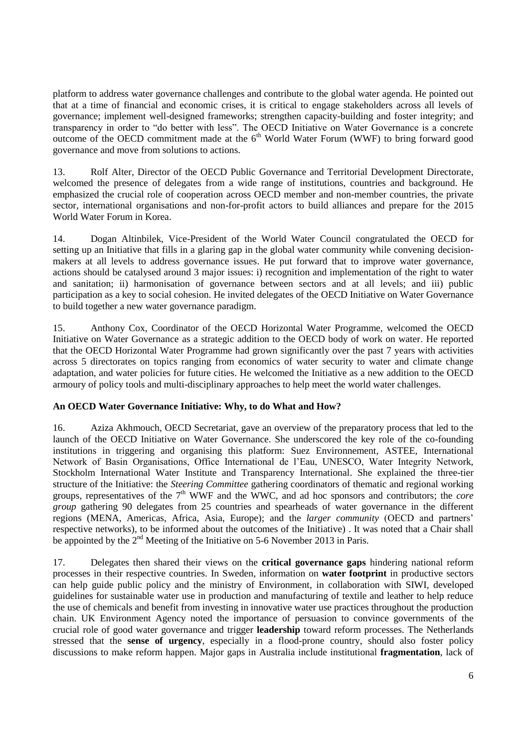platform to address water governance challenges and contribute to the global water agenda. He pointed out that at a time of financial and economic crises, it is critical to engage stakeholders across all levels of governance; implement well-designed frameworks; strengthen capacity-building and foster integrity; and transparency in order to "do better with less". The OECD Initiative on Water Governance is a concrete outcome of the OECD commitment made at the  $6<sup>th</sup>$  World Water Forum (WWF) to bring forward good governance and move from solutions to actions.

13. Rolf Alter, Director of the OECD Public Governance and Territorial Development Directorate, welcomed the presence of delegates from a wide range of institutions, countries and background. He emphasized the crucial role of cooperation across OECD member and non-member countries, the private sector, international organisations and non-for-profit actors to build alliances and prepare for the 2015 World Water Forum in Korea.

14. Dogan Altinbilek, Vice-President of the World Water Council congratulated the OECD for setting up an Initiative that fills in a glaring gap in the global water community while convening decisionmakers at all levels to address governance issues. He put forward that to improve water governance, actions should be catalysed around 3 major issues: i) recognition and implementation of the right to water and sanitation; ii) harmonisation of governance between sectors and at all levels; and iii) public participation as a key to social cohesion. He invited delegates of the OECD Initiative on Water Governance to build together a new water governance paradigm.

15. Anthony Cox, Coordinator of the OECD Horizontal Water Programme, welcomed the OECD Initiative on Water Governance as a strategic addition to the OECD body of work on water. He reported that the OECD Horizontal Water Programme had grown significantly over the past 7 years with activities across 5 directorates on topics ranging from economics of water security to water and climate change adaptation, and water policies for future cities. He welcomed the Initiative as a new addition to the OECD armoury of policy tools and multi-disciplinary approaches to help meet the world water challenges.

## <span id="page-5-0"></span>**An OECD Water Governance Initiative: Why, to do What and How?**

16. Aziza Akhmouch, OECD Secretariat, gave an overview of the preparatory process that led to the launch of the OECD Initiative on Water Governance. She underscored the key role of the co-founding institutions in triggering and organising this platform: Suez Environnement, ASTEE, International Network of Basin Organisations, Office International de l'Eau, UNESCO, Water Integrity Network, Stockholm International Water Institute and Transparency International. She explained the three-tier structure of the Initiative: the *Steering Committee* gathering coordinators of thematic and regional working groups, representatives of the 7<sup>th</sup> WWF and the WWC, and ad hoc sponsors and contributors; the *core group* gathering 90 delegates from 25 countries and spearheads of water governance in the different regions (MENA, Americas, Africa, Asia, Europe); and the *larger community* (OECD and partners' respective networks), to be informed about the outcomes of the Initiative) . It was noted that a Chair shall be appointed by the  $2<sup>nd</sup>$  Meeting of the Initiative on 5-6 November 2013 in Paris.

17. Delegates then shared their views on the **critical governance gaps** hindering national reform processes in their respective countries. In Sweden, information on **water footprint** in productive sectors can help guide public policy and the ministry of Environment, in collaboration with SIWI, developed guidelines for sustainable water use in production and manufacturing of textile and leather to help reduce the use of chemicals and benefit from investing in innovative water use practices throughout the production chain. UK Environment Agency noted the importance of persuasion to convince governments of the crucial role of good water governance and trigger **leadership** toward reform processes. The Netherlands stressed that the **sense of urgency**, especially in a flood-prone country, should also foster policy discussions to make reform happen. Major gaps in Australia include institutional **fragmentation**, lack of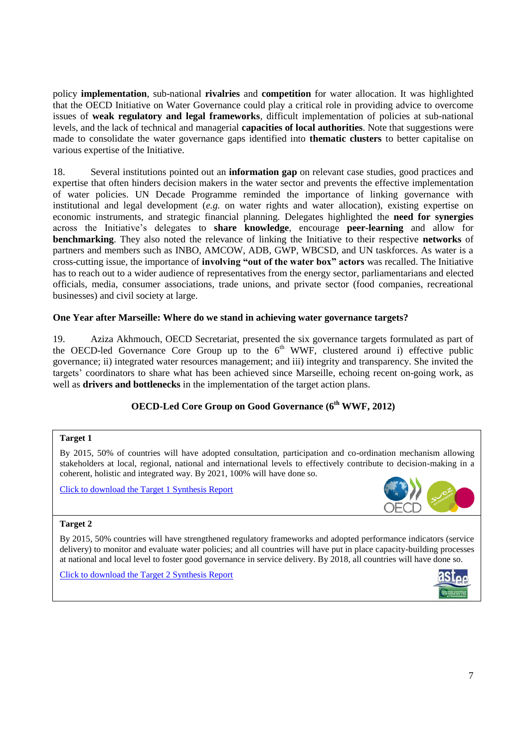policy **implementation**, sub-national **rivalries** and **competition** for water allocation. It was highlighted that the OECD Initiative on Water Governance could play a critical role in providing advice to overcome issues of **weak regulatory and legal frameworks**, difficult implementation of policies at sub-national levels, and the lack of technical and managerial **capacities of local authorities**. Note that suggestions were made to consolidate the water governance gaps identified into **thematic clusters** to better capitalise on various expertise of the Initiative.

18. Several institutions pointed out an **information gap** on relevant case studies, good practices and expertise that often hinders decision makers in the water sector and prevents the effective implementation of water policies. UN Decade Programme reminded the importance of linking governance with institutional and legal development (*e.g.* on water rights and water allocation), existing expertise on economic instruments, and strategic financial planning. Delegates highlighted the **need for synergies** across the Initiative's delegates to **share knowledge**, encourage **peer-learning** and allow for **benchmarking**. They also noted the relevance of linking the Initiative to their respective **networks** of partners and members such as INBO, AMCOW, ADB, GWP, WBCSD, and UN taskforces. As water is a cross-cutting issue, the importance of **involving "out of the water box" actors** was recalled. The Initiative has to reach out to a wider audience of representatives from the energy sector, parliamentarians and elected officials, media, consumer associations, trade unions, and private sector (food companies, recreational businesses) and civil society at large.

### <span id="page-6-0"></span>**One Year after Marseille: Where do we stand in achieving water governance targets?**

19. Aziza Akhmouch, OECD Secretariat, presented the six governance targets formulated as part of the OECD-led Governance Core Group up to the  $6<sup>th</sup>$  WWF, clustered around i) effective public governance; ii) integrated water resources management; and iii) integrity and transparency. She invited the targets' coordinators to share what has been achieved since Marseille, echoing recent on-going work, as well as **drivers and bottlenecks** in the implementation of the target action plans.

## **OECD-Led Core Group on Good Governance (6 th WWF, 2012)**

#### **Target 1**

By 2015, 50% of countries will have adopted consultation, participation and co-ordination mechanism allowing stakeholders at local, regional, national and international levels to effectively contribute to decision-making in a coherent, holistic and integrated way. By 2021, 100% will have done so.

[Click to download the Target 1 Synthesis Report](http://www.worldwaterforum6.org/uploads/tx_amswwf/CS1.1__Stakeholder__s_engagement_for_effective_water_policy_and_management_Report.pdf)



#### **Target 2**

By 2015, 50% countries will have strengthened regulatory frameworks and adopted performance indicators (service delivery) to monitor and evaluate water policies; and all countries will have put in place capacity-building processes at national and local level to foster good governance in service delivery. By 2018, all countries will have done so.

[Click to download the Target 2 Synthesis Report](http://www.worldwaterforum6.org/uploads/tx_amswwf/CS1.2_Performance_measurement__regulation_and_capacity_building_Report.pdf)

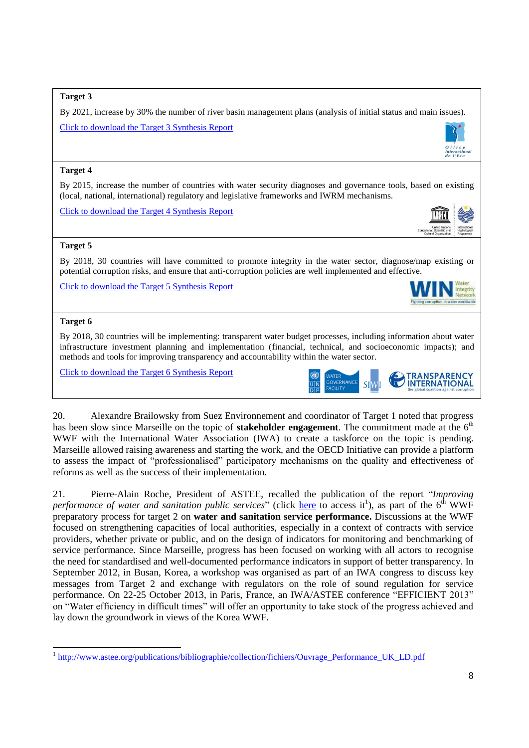#### **Target 3**

By 2021, increase by 30% the number of river basin management plans (analysis of initial status and main issues).

[Click to download the Target 3 Synthesis Report](http://www.worldwaterforum6.org/uploads/tx_amswwf/CS1.3_Basin_Management_Plans_as_Intruments_for_Water_Governance_Report.pdf)

#### **Target 4**

By 2015, increase the number of countries with water security diagnoses and governance tools, based on existing (local, national, international) regulatory and legislative frameworks and IWRM mechanisms.

[Click to download the Target 4 Synthesis Report](http://www.worldwaterforum6.org/uploads/tx_amswwf/CS1_4_Water_security_and_governance_tools_Report.pdf)



Internatio<br>de l'Eau

#### **Target 5**

By 2018, 30 countries will have committed to promote integrity in the water sector, diagnose/map existing or potential corruption risks, and ensure that anti-corruption policies are well implemented and effective.

[Click to download the Target 5 Synthesis Report](http://www.worldwaterforum6.org/uploads/tx_amswwf/CS1_5__Integrity_and_anti-corruption_policies_Report.pdf)



#### **Target 6**

 $\overline{a}$ 

By 2018, 30 countries will be implementing: transparent water budget processes, including information about water infrastructure investment planning and implementation (financial, technical, and socioeconomic impacts); and methods and tools for improving transparency and accountability within the water sector.

[Click to download the Target 6 Synthesis Report](http://www.worldwaterforum6.org/uploads/tx_amswwf/CS1_6_-_Target_Session_Report__Final_.pdf)



20. Alexandre Brailowsky from Suez Environnement and coordinator of Target 1 noted that progress has been slow since Marseille on the topic of **stakeholder engagement**. The commitment made at the 6<sup>th</sup> WWF with the International Water Association (IWA) to create a taskforce on the topic is pending. Marseille allowed raising awareness and starting the work, and the OECD Initiative can provide a platform to assess the impact of "professionalised" participatory mechanisms on the quality and effectiveness of reforms as well as the success of their implementation.

21. Pierre-Alain Roche, President of ASTEE, recalled the publication of the report "*Improving*  performance of water and sanitation public services" (click [here](http://www.astee.org/publications/bibliographie/collection/fichiers/Ouvrage_Performance_UK_LD.pdf) to access it<sup>1</sup>), as part of the 6<sup>th</sup> WWF preparatory process for target 2 on **water and sanitation service performance.** Discussions at the WWF focused on strengthening capacities of local authorities, especially in a context of contracts with service providers, whether private or public, and on the design of indicators for monitoring and benchmarking of service performance. Since Marseille, progress has been focused on working with all actors to recognise the need for standardised and well-documented performance indicators in support of better transparency. In September 2012, in Busan, Korea, a workshop was organised as part of an IWA congress to discuss key messages from Target 2 and exchange with regulators on the role of sound regulation for service performance. On 22-25 October 2013, in Paris, France, an IWA/ASTEE conference "EFFICIENT 2013" on "Water efficiency in difficult times" will offer an opportunity to take stock of the progress achieved and lay down the groundwork in views of the Korea WWF.

<sup>&</sup>lt;sup>1</sup> http://www.astee.org/publications/bibliographie/collection/fichiers/Ouvrage Performance UK LD.pdf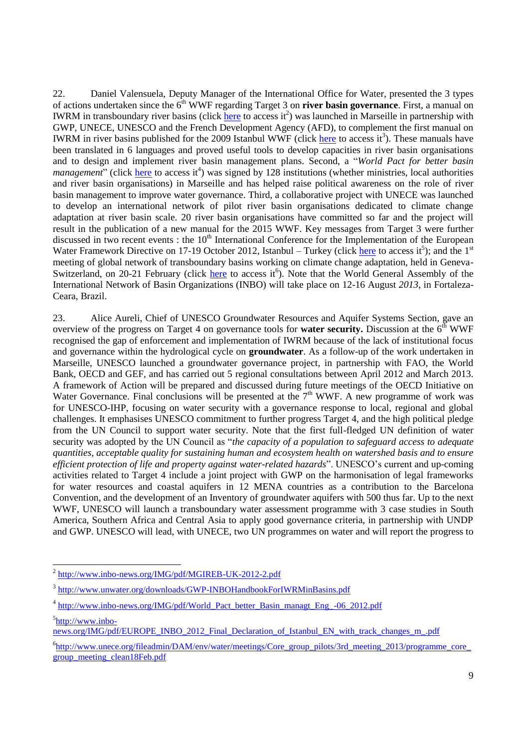22. Daniel Valensuela, Deputy Manager of the International Office for Water, presented the 3 types of actions undertaken since the 6<sup>th</sup> WWF regarding Target 3 on **river basin governance**. First, a manual on IWRM in transboundary river basins (click [here](http://www.inbo-news.org/IMG/pdf/MGIREB-UK-2012-2.pdf) to access it<sup>2</sup>) was launched in Marseille in partnership with GWP, UNECE, UNESCO and the French Development Agency (AFD), to complement the first manual on IWRM in river basins published for the 2009 Istanbul WWF (click [here](http://www.unwater.org/downloads/GWP-INBOHandbookForIWRMinBasins.pdf) to access it<sup>3</sup>). These manuals have been translated in 6 languages and proved useful tools to develop capacities in river basin organisations and to design and implement river basin management plans. Second, a "*World Pact for better basin management*" (click [here](http://www.inbo-news.org/IMG/pdf/World_Pact_better_Basin_managt_Eng_-06_2012.pdf) to access it<sup>4</sup>) was signed by 128 institutions (whether ministries, local authorities and river basin organisations) in Marseille and has helped raise political awareness on the role of river basin management to improve water governance. Third, a collaborative project with UNECE was launched to develop an international network of pilot river basin organisations dedicated to climate change adaptation at river basin scale. 20 river basin organisations have committed so far and the project will result in the publication of a new manual for the 2015 WWF. Key messages from Target 3 were further discussed in two recent events : the  $10<sup>th</sup>$  International Conference for the Implementation of the European Water Framework Directive on 17-19 October 2012, Istanbul – Turkey (click *here* to access it<sup>5</sup>); and the 1<sup>st</sup> meeting of global network of transboundary basins working on climate change adaptation, held in GenevaSwitzerland, on 20-21 February (click [here](http://www.unece.org/fileadmin/DAM/env/water/meetings/Core_group_pilots/3rd_meeting_2013/programme_core_group_meeting_clean18Feb.pdf) to access it<sup>6</sup>). Note that the World General Assembly of the International Network of Basin Organizations (INBO) will take place on 12-16 August *2013*, in Fortaleza-Ceara, Brazil.

23. Alice Aureli, Chief of UNESCO Groundwater Resources and Aquifer Systems Section, gave an overview of the progress on Target 4 on governance tools for **water security.** Discussion at the 6<sup>th</sup> WWF recognised the gap of enforcement and implementation of IWRM because of the lack of institutional focus and governance within the hydrological cycle on **groundwater**. As a follow-up of the work undertaken in Marseille, UNESCO launched a groundwater governance project, in partnership with FAO, the World Bank, OECD and GEF, and has carried out 5 regional consultations between April 2012 and March 2013. A framework of Action will be prepared and discussed during future meetings of the OECD Initiative on Water Governance. Final conclusions will be presented at the  $7<sup>th</sup>$  WWF. A new programme of work was for UNESCO-IHP, focusing on water security with a governance response to local, regional and global challenges. It emphasises UNESCO commitment to further progress Target 4, and the high political pledge from the UN Council to support water security. Note that the first full-fledged UN definition of water security was adopted by the UN Council as "*the capacity of a population to safeguard access to adequate quantities, acceptable quality for sustaining human and ecosystem health on watershed basis and to ensure efficient protection of life and property against water-related hazards*". UNESCO's current and up-coming activities related to Target 4 include a joint project with GWP on the harmonisation of legal frameworks for water resources and coastal aquifers in 12 MENA countries as a contribution to the Barcelona Convention, and the development of an Inventory of groundwater aquifers with 500 thus far. Up to the next WWF, UNESCO will launch a transboundary water assessment programme with 3 case studies in South America, Southern Africa and Central Asia to apply good governance criteria, in partnership with UNDP and GWP. UNESCO will lead, with UNECE, two UN programmes on water and will report the progress to

<sup>&</sup>lt;sup>2</sup> <http://www.inbo-news.org/IMG/pdf/MGIREB-UK-2012-2.pdf>

<sup>&</sup>lt;sup>3</sup> <http://www.unwater.org/downloads/GWP-INBOHandbookForIWRMinBasins.pdf>

<sup>&</sup>lt;sup>4</sup> http://www.inbo-news.org/IMG/pdf/World Pact better Basin\_managt\_Eng\_-06\_2012.pdf

<sup>&</sup>lt;sup>5</sup>[http://www.inbo-](http://www.inbo-news.org/IMG/pdf/EUROPE_INBO_2012_Final_Declaration_of_Istanbul_EN_with_track_changes_m_.pdf)

[news.org/IMG/pdf/EUROPE\\_INBO\\_2012\\_Final\\_Declaration\\_of\\_Istanbul\\_EN\\_with\\_track\\_changes\\_m\\_.pdf](http://www.inbo-news.org/IMG/pdf/EUROPE_INBO_2012_Final_Declaration_of_Istanbul_EN_with_track_changes_m_.pdf)

<sup>&</sup>lt;sup>6</sup>[http://www.unece.org/fileadmin/DAM/env/water/meetings/Core\\_group\\_pilots/3rd\\_meeting\\_2013/programme\\_core\\_](http://www.unece.org/fileadmin/DAM/env/water/meetings/Core_group_pilots/3rd_meeting_2013/programme_core_group_meeting_clean18Feb.pdf) [group\\_meeting\\_clean18Feb.pdf](http://www.unece.org/fileadmin/DAM/env/water/meetings/Core_group_pilots/3rd_meeting_2013/programme_core_group_meeting_clean18Feb.pdf)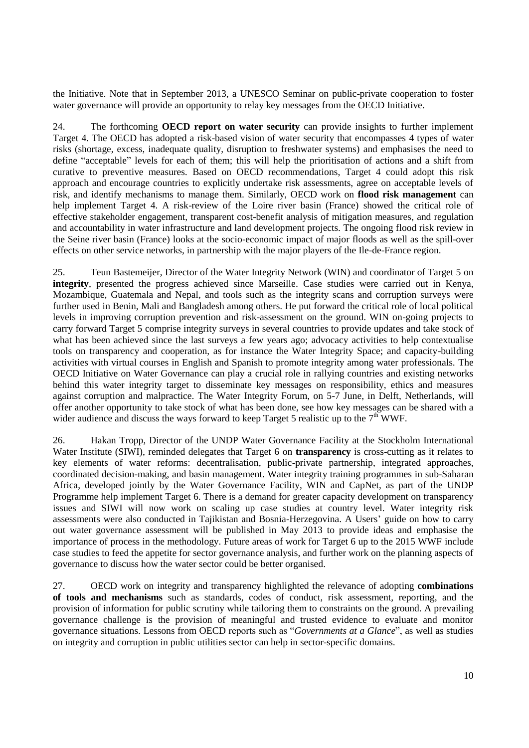the Initiative. Note that in September 2013, a UNESCO Seminar on public-private cooperation to foster water governance will provide an opportunity to relay key messages from the OECD Initiative.

24. The forthcoming **OECD report on water security** can provide insights to further implement Target 4. The OECD has adopted a risk-based vision of water security that encompasses 4 types of water risks (shortage, excess, inadequate quality, disruption to freshwater systems) and emphasises the need to define "acceptable" levels for each of them; this will help the prioritisation of actions and a shift from curative to preventive measures. Based on OECD recommendations, Target 4 could adopt this risk approach and encourage countries to explicitly undertake risk assessments, agree on acceptable levels of risk, and identify mechanisms to manage them. Similarly, OECD work on **flood risk management** can help implement Target 4. A risk-review of the Loire river basin (France) showed the critical role of effective stakeholder engagement, transparent cost-benefit analysis of mitigation measures, and regulation and accountability in water infrastructure and land development projects. The ongoing flood risk review in the Seine river basin (France) looks at the socio-economic impact of major floods as well as the spill-over effects on other service networks, in partnership with the major players of the Ile-de-France region.

25. Teun Bastemeijer, Director of the Water Integrity Network (WIN) and coordinator of Target 5 on **integrity**, presented the progress achieved since Marseille. Case studies were carried out in Kenya, Mozambique, Guatemala and Nepal, and tools such as the integrity scans and corruption surveys were further used in Benin, Mali and Bangladesh among others. He put forward the critical role of local political levels in improving corruption prevention and risk-assessment on the ground. WIN on-going projects to carry forward Target 5 comprise integrity surveys in several countries to provide updates and take stock of what has been achieved since the last surveys a few years ago; advocacy activities to help contextualise tools on transparency and cooperation, as for instance the Water Integrity Space; and capacity-building activities with virtual courses in English and Spanish to promote integrity among water professionals. The OECD Initiative on Water Governance can play a crucial role in rallying countries and existing networks behind this water integrity target to disseminate key messages on responsibility, ethics and measures against corruption and malpractice. The Water Integrity Forum, on 5-7 June, in Delft, Netherlands, will offer another opportunity to take stock of what has been done, see how key messages can be shared with a wider audience and discuss the ways forward to keep Target 5 realistic up to the  $7<sup>th</sup>$  WWF.

26. Hakan Tropp, Director of the UNDP Water Governance Facility at the Stockholm International Water Institute (SIWI), reminded delegates that Target 6 on **transparency** is cross-cutting as it relates to key elements of water reforms: decentralisation, public-private partnership, integrated approaches, coordinated decision-making, and basin management. Water integrity training programmes in sub-Saharan Africa, developed jointly by the Water Governance Facility, WIN and CapNet, as part of the UNDP Programme help implement Target 6. There is a demand for greater capacity development on transparency issues and SIWI will now work on scaling up case studies at country level. Water integrity risk assessments were also conducted in Tajikistan and Bosnia-Herzegovina. A Users' guide on how to carry out water governance assessment will be published in May 2013 to provide ideas and emphasise the importance of process in the methodology. Future areas of work for Target 6 up to the 2015 WWF include case studies to feed the appetite for sector governance analysis, and further work on the planning aspects of governance to discuss how the water sector could be better organised.

27. OECD work on integrity and transparency highlighted the relevance of adopting **combinations of tools and mechanisms** such as standards, codes of conduct, risk assessment, reporting, and the provision of information for public scrutiny while tailoring them to constraints on the ground. A prevailing governance challenge is the provision of meaningful and trusted evidence to evaluate and monitor governance situations. Lessons from OECD reports such as "*Governments at a Glance*", as well as studies on integrity and corruption in public utilities sector can help in sector-specific domains.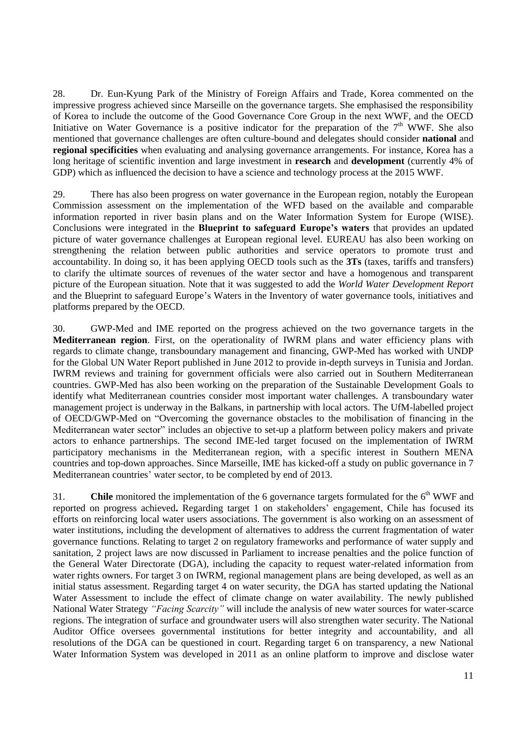28. Dr. Eun-Kyung Park of the Ministry of Foreign Affairs and Trade, Korea commented on the impressive progress achieved since Marseille on the governance targets. She emphasised the responsibility of Korea to include the outcome of the Good Governance Core Group in the next WWF, and the OECD Initiative on Water Governance is a positive indicator for the preparation of the  $7<sup>th</sup>$  WWF. She also mentioned that governance challenges are often culture-bound and delegates should consider **national** and **regional specificities** when evaluating and analysing governance arrangements. For instance, Korea has a long heritage of scientific invention and large investment in **research** and **development** (currently 4% of GDP) which as influenced the decision to have a science and technology process at the 2015 WWF.

29. There has also been progress on water governance in the European region, notably the European Commission assessment on the implementation of the WFD based on the available and comparable information reported in river basin plans and on the Water Information System for Europe (WISE). Conclusions were integrated in the **Blueprint to safeguard Europe's waters** that provides an updated picture of water governance challenges at European regional level. EUREAU has also been working on strengthening the relation between public authorities and service operators to promote trust and accountability. In doing so, it has been applying OECD tools such as the **3Ts** (taxes, tariffs and transfers) to clarify the ultimate sources of revenues of the water sector and have a homogenous and transparent picture of the European situation. Note that it was suggested to add the *World Water Development Report* and the Blueprint to safeguard Europe's Waters in the Inventory of water governance tools, initiatives and platforms prepared by the OECD.

30. GWP-Med and IME reported on the progress achieved on the two governance targets in the **Mediterranean region**. First, on the operationality of IWRM plans and water efficiency plans with regards to climate change, transboundary management and financing, GWP-Med has worked with UNDP for the Global UN Water Report published in June 2012 to provide in-depth surveys in Tunisia and Jordan. IWRM reviews and training for government officials were also carried out in Southern Mediterranean countries. GWP-Med has also been working on the preparation of the Sustainable Development Goals to identify what Mediterranean countries consider most important water challenges. A transboundary water management project is underway in the Balkans, in partnership with local actors. The UfM-labelled project of OECD/GWP-Med on "Overcoming the governance obstacles to the mobilisation of financing in the Mediterranean water sector" includes an objective to set-up a platform between policy makers and private actors to enhance partnerships. The second IME-led target focused on the implementation of IWRM participatory mechanisms in the Mediterranean region, with a specific interest in Southern MENA countries and top-down approaches. Since Marseille, IME has kicked-off a study on public governance in 7 Mediterranean countries' water sector, to be completed by end of 2013.

31. **Chile** monitored the implementation of the 6 governance targets formulated for the 6<sup>th</sup> WWF and reported on progress achieved**.** Regarding target 1 on stakeholders' engagement, Chile has focused its efforts on reinforcing local water users associations. The government is also working on an assessment of water institutions, including the development of alternatives to address the current fragmentation of water governance functions. Relating to target 2 on regulatory frameworks and performance of water supply and sanitation, 2 project laws are now discussed in Parliament to increase penalties and the police function of the General Water Directorate (DGA), including the capacity to request water-related information from water rights owners. For target 3 on IWRM, regional management plans are being developed, as well as an initial status assessment. Regarding target 4 on water security, the DGA has started updating the National Water Assessment to include the effect of climate change on water availability. The newly published National Water Strategy *"Facing Scarcity"* will include the analysis of new water sources for water-scarce regions. The integration of surface and groundwater users will also strengthen water security. The National Auditor Office oversees governmental institutions for better integrity and accountability, and all resolutions of the DGA can be questioned in court. Regarding target 6 on transparency, a new National Water Information System was developed in 2011 as an online platform to improve and disclose water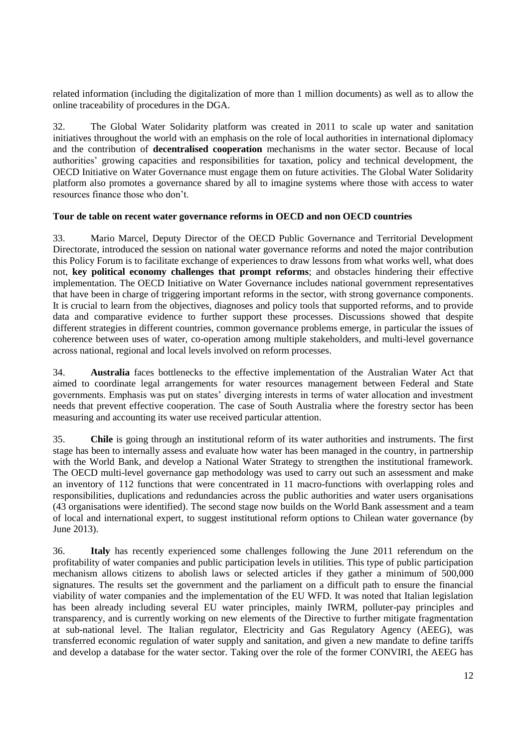related information (including the digitalization of more than 1 million documents) as well as to allow the online traceability of procedures in the DGA.

32. The Global Water Solidarity platform was created in 2011 to scale up water and sanitation initiatives throughout the world with an emphasis on the role of local authorities in international diplomacy and the contribution of **decentralised cooperation** mechanisms in the water sector. Because of local authorities' growing capacities and responsibilities for taxation, policy and technical development, the OECD Initiative on Water Governance must engage them on future activities. The Global Water Solidarity platform also promotes a governance shared by all to imagine systems where those with access to water resources finance those who don't.

#### <span id="page-11-0"></span>**Tour de table on recent water governance reforms in OECD and non OECD countries**

33. Mario Marcel, Deputy Director of the OECD Public Governance and Territorial Development Directorate, introduced the session on national water governance reforms and noted the major contribution this Policy Forum is to facilitate exchange of experiences to draw lessons from what works well, what does not, **key political economy challenges that prompt reforms**; and obstacles hindering their effective implementation. The OECD Initiative on Water Governance includes national government representatives that have been in charge of triggering important reforms in the sector, with strong governance components. It is crucial to learn from the objectives, diagnoses and policy tools that supported reforms, and to provide data and comparative evidence to further support these processes. Discussions showed that despite different strategies in different countries, common governance problems emerge, in particular the issues of coherence between uses of water, co-operation among multiple stakeholders, and multi-level governance across national, regional and local levels involved on reform processes.

34. **Australia** faces bottlenecks to the effective implementation of the Australian Water Act that aimed to coordinate legal arrangements for water resources management between Federal and State governments. Emphasis was put on states' diverging interests in terms of water allocation and investment needs that prevent effective cooperation. The case of South Australia where the forestry sector has been measuring and accounting its water use received particular attention.

35. **Chile** is going through an institutional reform of its water authorities and instruments. The first stage has been to internally assess and evaluate how water has been managed in the country, in partnership with the World Bank, and develop a National Water Strategy to strengthen the institutional framework. The OECD multi-level governance gap methodology was used to carry out such an assessment and make an inventory of 112 functions that were concentrated in 11 macro-functions with overlapping roles and responsibilities, duplications and redundancies across the public authorities and water users organisations (43 organisations were identified). The second stage now builds on the World Bank assessment and a team of local and international expert, to suggest institutional reform options to Chilean water governance (by June 2013).

36. **Italy** has recently experienced some challenges following the June 2011 referendum on the profitability of water companies and public participation levels in utilities. This type of public participation mechanism allows citizens to abolish laws or selected articles if they gather a minimum of 500,000 signatures. The results set the government and the parliament on a difficult path to ensure the financial viability of water companies and the implementation of the EU WFD. It was noted that Italian legislation has been already including several EU water principles, mainly IWRM, polluter-pay principles and transparency, and is currently working on new elements of the Directive to further mitigate fragmentation at sub-national level. The Italian regulator, Electricity and Gas Regulatory Agency (AEEG), was transferred economic regulation of water supply and sanitation, and given a new mandate to define tariffs and develop a database for the water sector. Taking over the role of the former CONVIRI, the AEEG has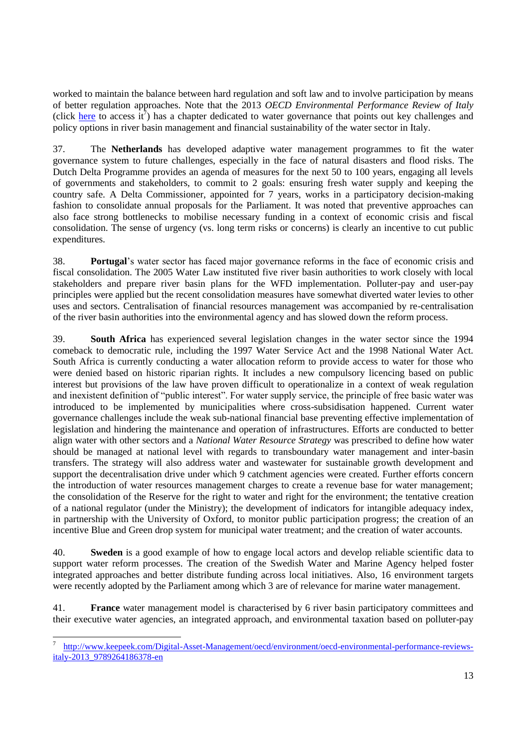worked to maintain the balance between hard regulation and soft law and to involve participation by means of better regulation approaches. Note that the 2013 *OECD Environmental Performance Review of Italy* (click [here](http://www.keepeek.com/Digital-Asset-Management/oecd/environment/oecd-environmental-performance-reviews-italy-2013_9789264186378-en) to access  $\tilde{t}$ ) has a chapter dedicated to water governance that points out key challenges and policy options in river basin management and financial sustainability of the water sector in Italy.

37. The **Netherlands** has developed adaptive water management programmes to fit the water governance system to future challenges, especially in the face of natural disasters and flood risks. The Dutch Delta Programme provides an agenda of measures for the next 50 to 100 years, engaging all levels of governments and stakeholders, to commit to 2 goals: ensuring fresh water supply and keeping the country safe. A Delta Commissioner, appointed for 7 years, works in a participatory decision-making fashion to consolidate annual proposals for the Parliament. It was noted that preventive approaches can also face strong bottlenecks to mobilise necessary funding in a context of economic crisis and fiscal consolidation. The sense of urgency (vs. long term risks or concerns) is clearly an incentive to cut public expenditures.

38. **Portugal**'s water sector has faced major governance reforms in the face of economic crisis and fiscal consolidation. The 2005 Water Law instituted five river basin authorities to work closely with local stakeholders and prepare river basin plans for the WFD implementation. Polluter-pay and user-pay principles were applied but the recent consolidation measures have somewhat diverted water levies to other uses and sectors. Centralisation of financial resources management was accompanied by re-centralisation of the river basin authorities into the environmental agency and has slowed down the reform process.

39. **South Africa** has experienced several legislation changes in the water sector since the 1994 comeback to democratic rule, including the 1997 Water Service Act and the 1998 National Water Act. South Africa is currently conducting a water allocation reform to provide access to water for those who were denied based on historic riparian rights. It includes a new compulsory licencing based on public interest but provisions of the law have proven difficult to operationalize in a context of weak regulation and inexistent definition of "public interest". For water supply service, the principle of free basic water was introduced to be implemented by municipalities where cross-subsidisation happened. Current water governance challenges include the weak sub-national financial base preventing effective implementation of legislation and hindering the maintenance and operation of infrastructures. Efforts are conducted to better align water with other sectors and a *National Water Resource Strategy* was prescribed to define how water should be managed at national level with regards to transboundary water management and inter-basin transfers. The strategy will also address water and wastewater for sustainable growth development and support the decentralisation drive under which 9 catchment agencies were created. Further efforts concern the introduction of water resources management charges to create a revenue base for water management; the consolidation of the Reserve for the right to water and right for the environment; the tentative creation of a national regulator (under the Ministry); the development of indicators for intangible adequacy index, in partnership with the University of Oxford, to monitor public participation progress; the creation of an incentive Blue and Green drop system for municipal water treatment; and the creation of water accounts.

40. **Sweden** is a good example of how to engage local actors and develop reliable scientific data to support water reform processes. The creation of the Swedish Water and Marine Agency helped foster integrated approaches and better distribute funding across local initiatives. Also, 16 environment targets were recently adopted by the Parliament among which 3 are of relevance for marine water management.

41. **France** water management model is characterised by 6 river basin participatory committees and their executive water agencies, an integrated approach, and environmental taxation based on polluter-pay

<sup>7</sup> [http://www.keepeek.com/Digital-Asset-Management/oecd/environment/oecd-environmental-performance-reviews](http://www.keepeek.com/Digital-Asset-Management/oecd/environment/oecd-environmental-performance-reviews-italy-2013_9789264186378-en)[italy-2013\\_9789264186378-en](http://www.keepeek.com/Digital-Asset-Management/oecd/environment/oecd-environmental-performance-reviews-italy-2013_9789264186378-en)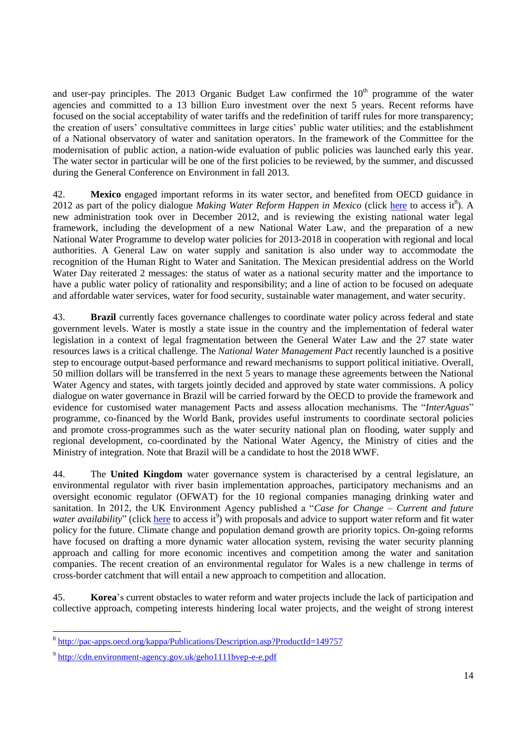and user-pay principles. The 2013 Organic Budget Law confirmed the  $10<sup>th</sup>$  programme of the water agencies and committed to a 13 billion Euro investment over the next 5 years. Recent reforms have focused on the social acceptability of water tariffs and the redefinition of tariff rules for more transparency; the creation of users' consultative committees in large cities' public water utilities; and the establishment of a National observatory of water and sanitation operators. In the framework of the Committee for the modernisation of public action, a nation-wide evaluation of public policies was launched early this year. The water sector in particular will be one of the first policies to be reviewed, by the summer, and discussed during the General Conference on Environment in fall 2013.

42. **Mexico** engaged important reforms in its water sector, and benefited from OECD guidance in 2012 as part of the policy dialogue *Making Water Reform Happen in Mexico* (click [here](http://pac-apps.oecd.org/kappa/Publications/Description.asp?ProductId=149757) to access it<sup>8</sup>). A new administration took over in December 2012, and is reviewing the existing national water legal framework, including the development of a new National Water Law, and the preparation of a new National Water Programme to develop water policies for 2013-2018 in cooperation with regional and local authorities. A General Law on water supply and sanitation is also under way to accommodate the recognition of the Human Right to Water and Sanitation. The Mexican presidential address on the World Water Day reiterated 2 messages: the status of water as a national security matter and the importance to have a public water policy of rationality and responsibility; and a line of action to be focused on adequate and affordable water services, water for food security, sustainable water management, and water security.

43. **Brazil** currently faces governance challenges to coordinate water policy across federal and state government levels. Water is mostly a state issue in the country and the implementation of federal water legislation in a context of legal fragmentation between the General Water Law and the 27 state water resources laws is a critical challenge. The *National Water Management Pact* recently launched is a positive step to encourage output-based performance and reward mechanisms to support political initiative. Overall, 50 million dollars will be transferred in the next 5 years to manage these agreements between the National Water Agency and states, with targets jointly decided and approved by state water commissions. A policy dialogue on water governance in Brazil will be carried forward by the OECD to provide the framework and evidence for customised water management Pacts and assess allocation mechanisms. The "*InterAguas*" programme, co-financed by the World Bank, provides useful instruments to coordinate sectoral policies and promote cross-programmes such as the water security national plan on flooding, water supply and regional development, co-coordinated by the National Water Agency, the Ministry of cities and the Ministry of integration. Note that Brazil will be a candidate to host the 2018 WWF.

44. The **United Kingdom** water governance system is characterised by a central legislature, an environmental regulator with river basin implementation approaches, participatory mechanisms and an oversight economic regulator (OFWAT) for the 10 regional companies managing drinking water and sanitation. In 2012, the UK Environment Agency published a "*Case for Change – Current and future*  water availability" (click [here](http://cdn.environment-agency.gov.uk/geho1111bvep-e-e.pdf) to access it<sup>9</sup>) with proposals and advice to support water reform and fit water policy for the future. Climate change and population demand growth are priority topics. On-going reforms have focused on drafting a more dynamic water allocation system, revising the water security planning approach and calling for more economic incentives and competition among the water and sanitation companies. The recent creation of an environmental regulator for Wales is a new challenge in terms of cross-border catchment that will entail a new approach to competition and allocation.

45. **Korea**'s current obstacles to water reform and water projects include the lack of participation and collective approach, competing interests hindering local water projects, and the weight of strong interest

 8 <http://pac-apps.oecd.org/kappa/Publications/Description.asp?ProductId=149757>

<sup>&</sup>lt;sup>9</sup> <http://cdn.environment-agency.gov.uk/geho1111bvep-e-e.pdf>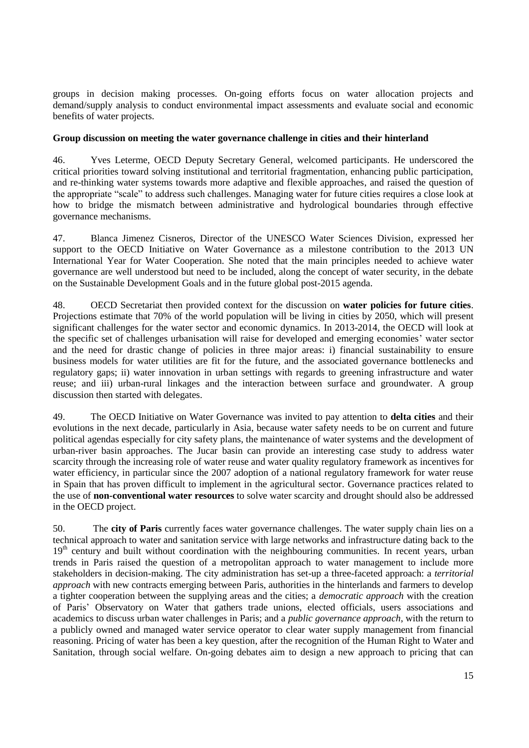groups in decision making processes. On-going efforts focus on water allocation projects and demand/supply analysis to conduct environmental impact assessments and evaluate social and economic benefits of water projects.

#### <span id="page-14-0"></span>**Group discussion on meeting the water governance challenge in cities and their hinterland**

46. Yves Leterme, OECD Deputy Secretary General, welcomed participants. He underscored the critical priorities toward solving institutional and territorial fragmentation, enhancing public participation, and re-thinking water systems towards more adaptive and flexible approaches, and raised the question of the appropriate "scale" to address such challenges. Managing water for future cities requires a close look at how to bridge the mismatch between administrative and hydrological boundaries through effective governance mechanisms.

47. Blanca Jimenez Cisneros, Director of the UNESCO Water Sciences Division, expressed her support to the OECD Initiative on Water Governance as a milestone contribution to the 2013 UN International Year for Water Cooperation. She noted that the main principles needed to achieve water governance are well understood but need to be included, along the concept of water security, in the debate on the Sustainable Development Goals and in the future global post-2015 agenda.

48. OECD Secretariat then provided context for the discussion on **water policies for future cities**. Projections estimate that 70% of the world population will be living in cities by 2050, which will present significant challenges for the water sector and economic dynamics. In 2013-2014, the OECD will look at the specific set of challenges urbanisation will raise for developed and emerging economies' water sector and the need for drastic change of policies in three major areas: i) financial sustainability to ensure business models for water utilities are fit for the future, and the associated governance bottlenecks and regulatory gaps; ii) water innovation in urban settings with regards to greening infrastructure and water reuse; and iii) urban-rural linkages and the interaction between surface and groundwater. A group discussion then started with delegates.

49. The OECD Initiative on Water Governance was invited to pay attention to **delta cities** and their evolutions in the next decade, particularly in Asia, because water safety needs to be on current and future political agendas especially for city safety plans, the maintenance of water systems and the development of urban-river basin approaches. The Jucar basin can provide an interesting case study to address water scarcity through the increasing role of water reuse and water quality regulatory framework as incentives for water efficiency, in particular since the 2007 adoption of a national regulatory framework for water reuse in Spain that has proven difficult to implement in the agricultural sector. Governance practices related to the use of **non-conventional water resources** to solve water scarcity and drought should also be addressed in the OECD project.

50. The **city of Paris** currently faces water governance challenges. The water supply chain lies on a technical approach to water and sanitation service with large networks and infrastructure dating back to the 19<sup>th</sup> century and built without coordination with the neighbouring communities. In recent years, urban trends in Paris raised the question of a metropolitan approach to water management to include more stakeholders in decision-making. The city administration has set-up a three-faceted approach: a *territorial approach* with new contracts emerging between Paris, authorities in the hinterlands and farmers to develop a tighter cooperation between the supplying areas and the cities; a *democratic approach* with the creation of Paris' Observatory on Water that gathers trade unions, elected officials, users associations and academics to discuss urban water challenges in Paris; and a *public governance approach*, with the return to a publicly owned and managed water service operator to clear water supply management from financial reasoning. Pricing of water has been a key question, after the recognition of the Human Right to Water and Sanitation, through social welfare. On-going debates aim to design a new approach to pricing that can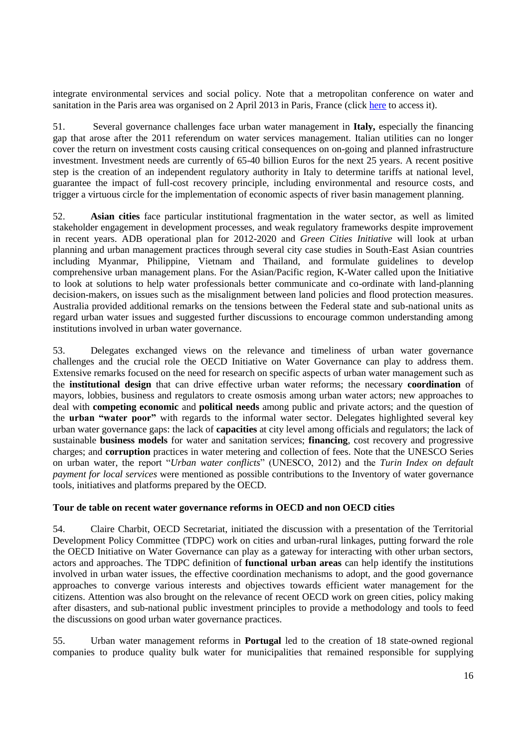integrate environmental services and social policy. Note that a metropolitan conference on water and sanitation in the Paris area was organised on 2 April 2013 in Paris, France (clic[k here](http://www.google.fr/url?sa=t&rct=j&q=&esrc=s&source=web&cd=2&ved=0CEMQFjAB&url=http%3A%2F%2Fwww.parismetropole.fr%2Fspip.php%3Fpage%3Dtelechargement%26id_document%3D1050&ei=NmJxUbr3LYmKON_HgJgP&usg=AFQjCNHzE3QUd3fAQqwKtCZhKr6gm8Ni4w&sig2=nXgLiLqXs9ma1XVFD48B_A&bvm=bv.45373924,d.ZWU&cad=rja) to access it).

51. Several governance challenges face urban water management in **Italy,** especially the financing gap that arose after the 2011 referendum on water services management. Italian utilities can no longer cover the return on investment costs causing critical consequences on on-going and planned infrastructure investment. Investment needs are currently of 65-40 billion Euros for the next 25 years. A recent positive step is the creation of an independent regulatory authority in Italy to determine tariffs at national level, guarantee the impact of full-cost recovery principle, including environmental and resource costs, and trigger a virtuous circle for the implementation of economic aspects of river basin management planning.

52. **Asian cities** face particular institutional fragmentation in the water sector, as well as limited stakeholder engagement in development processes, and weak regulatory frameworks despite improvement in recent years. ADB operational plan for 2012-2020 and *Green Cities Initiative* will look at urban planning and urban management practices through several city case studies in South-East Asian countries including Myanmar, Philippine, Vietnam and Thailand, and formulate guidelines to develop comprehensive urban management plans. For the Asian/Pacific region, K-Water called upon the Initiative to look at solutions to help water professionals better communicate and co-ordinate with land-planning decision-makers, on issues such as the misalignment between land policies and flood protection measures. Australia provided additional remarks on the tensions between the Federal state and sub-national units as regard urban water issues and suggested further discussions to encourage common understanding among institutions involved in urban water governance.

53. Delegates exchanged views on the relevance and timeliness of urban water governance challenges and the crucial role the OECD Initiative on Water Governance can play to address them. Extensive remarks focused on the need for research on specific aspects of urban water management such as the **institutional design** that can drive effective urban water reforms; the necessary **coordination** of mayors, lobbies, business and regulators to create osmosis among urban water actors; new approaches to deal with **competing economic** and **political needs** among public and private actors; and the question of the **urban "water poor"** with regards to the informal water sector. Delegates highlighted several key urban water governance gaps: the lack of **capacities** at city level among officials and regulators; the lack of sustainable **business models** for water and sanitation services; **financing**, cost recovery and progressive charges; and **corruption** practices in water metering and collection of fees. Note that the UNESCO Series on urban water, the report "*Urban water conflicts*" (UNESCO, 2012) and the *Turin Index on default payment for local services* were mentioned as possible contributions to the Inventory of water governance tools, initiatives and platforms prepared by the OECD.

#### <span id="page-15-0"></span>**Tour de table on recent water governance reforms in OECD and non OECD cities**

54. Claire Charbit, OECD Secretariat, initiated the discussion with a presentation of the Territorial Development Policy Committee (TDPC) work on cities and urban-rural linkages, putting forward the role the OECD Initiative on Water Governance can play as a gateway for interacting with other urban sectors, actors and approaches. The TDPC definition of **functional urban areas** can help identify the institutions involved in urban water issues, the effective coordination mechanisms to adopt, and the good governance approaches to converge various interests and objectives towards efficient water management for the citizens. Attention was also brought on the relevance of recent OECD work on green cities, policy making after disasters, and sub-national public investment principles to provide a methodology and tools to feed the discussions on good urban water governance practices.

55. Urban water management reforms in **Portugal** led to the creation of 18 state-owned regional companies to produce quality bulk water for municipalities that remained responsible for supplying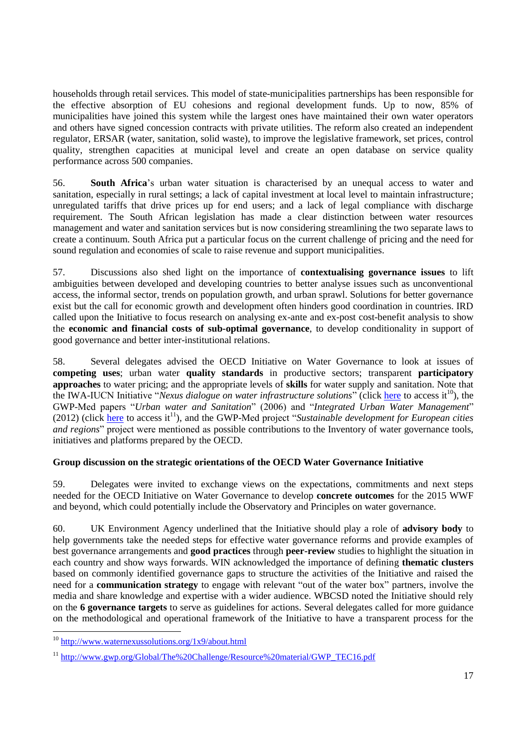households through retail services. This model of state-municipalities partnerships has been responsible for the effective absorption of EU cohesions and regional development funds. Up to now, 85% of municipalities have joined this system while the largest ones have maintained their own water operators and others have signed concession contracts with private utilities. The reform also created an independent regulator, ERSAR (water, sanitation, solid waste), to improve the legislative framework, set prices, control quality, strengthen capacities at municipal level and create an open database on service quality performance across 500 companies.

56. **South Africa**'s urban water situation is characterised by an unequal access to water and sanitation, especially in rural settings; a lack of capital investment at local level to maintain infrastructure; unregulated tariffs that drive prices up for end users; and a lack of legal compliance with discharge requirement. The South African legislation has made a clear distinction between water resources management and water and sanitation services but is now considering streamlining the two separate laws to create a continuum. South Africa put a particular focus on the current challenge of pricing and the need for sound regulation and economies of scale to raise revenue and support municipalities.

57. Discussions also shed light on the importance of **contextualising governance issues** to lift ambiguities between developed and developing countries to better analyse issues such as unconventional access, the informal sector, trends on population growth, and urban sprawl. Solutions for better governance exist but the call for economic growth and development often hinders good coordination in countries. IRD called upon the Initiative to focus research on analysing ex-ante and ex-post cost-benefit analysis to show the **economic and financial costs of sub-optimal governance**, to develop conditionality in support of good governance and better inter-institutional relations.

58. Several delegates advised the OECD Initiative on Water Governance to look at issues of **competing uses**; urban water **quality standards** in productive sectors; transparent **participatory approaches** to water pricing; and the appropriate levels of **skills** for water supply and sanitation. Note that the IWA-IUCN Initiative "*Nexus dialogue on water infrastructure solutions*" (click [here](http://www.waternexussolutions.org/1x9/about.html) to access it<sup>10</sup>), the GWP-Med papers "*Urban water and Sanitation*" (2006) and "*Integrated Urban Water Management*"  $(2012)$  (click [here](http://www.gwp.org/Global/The%20Challenge/Resource%20material/GWP_TEC16.pdf) to access it<sup>11</sup>), and the GWP-Med project "*Sustainable development for European cities and regions*" project were mentioned as possible contributions to the Inventory of water governance tools, initiatives and platforms prepared by the OECD.

## <span id="page-16-0"></span>**Group discussion on the strategic orientations of the OECD Water Governance Initiative**

59. Delegates were invited to exchange views on the expectations, commitments and next steps needed for the OECD Initiative on Water Governance to develop **concrete outcomes** for the 2015 WWF and beyond, which could potentially include the Observatory and Principles on water governance.

60. UK Environment Agency underlined that the Initiative should play a role of **advisory body** to help governments take the needed steps for effective water governance reforms and provide examples of best governance arrangements and **good practices** through **peer-review** studies to highlight the situation in each country and show ways forwards. WIN acknowledged the importance of defining **thematic clusters** based on commonly identified governance gaps to structure the activities of the Initiative and raised the need for a **communication strategy** to engage with relevant "out of the water box" partners, involve the media and share knowledge and expertise with a wider audience. WBCSD noted the Initiative should rely on the **6 governance targets** to serve as guidelines for actions. Several delegates called for more guidance on the methodological and operational framework of the Initiative to have a transparent process for the

<sup>&</sup>lt;sup>10</sup> <http://www.waternexussolutions.org/1x9/about.html>

<sup>&</sup>lt;sup>11</sup> [http://www.gwp.org/Global/The%20Challenge/Resource%20material/GWP\\_TEC16.pdf](http://www.gwp.org/Global/The%20Challenge/Resource%20material/GWP_TEC16.pdf)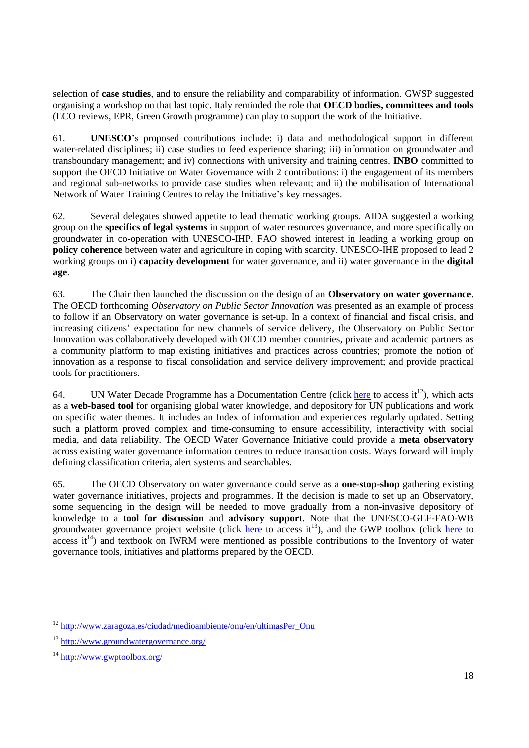selection of **case studies**, and to ensure the reliability and comparability of information. GWSP suggested organising a workshop on that last topic. Italy reminded the role that **OECD bodies, committees and tools** (ECO reviews, EPR, Green Growth programme) can play to support the work of the Initiative.

61. **UNESCO**'s proposed contributions include: i) data and methodological support in different water-related disciplines; ii) case studies to feed experience sharing; iii) information on groundwater and transboundary management; and iv) connections with university and training centres. **INBO** committed to support the OECD Initiative on Water Governance with 2 contributions: i) the engagement of its members and regional sub-networks to provide case studies when relevant; and ii) the mobilisation of International Network of Water Training Centres to relay the Initiative's key messages.

62. Several delegates showed appetite to lead thematic working groups. AIDA suggested a working group on the **specifics of legal systems** in support of water resources governance, and more specifically on groundwater in co-operation with UNESCO-IHP. FAO showed interest in leading a working group on **policy coherence** between water and agriculture in coping with scarcity. UNESCO-IHE proposed to lead 2 working groups on i) **capacity development** for water governance, and ii) water governance in the **digital age**.

63. The Chair then launched the discussion on the design of an **Observatory on water governance**. The OECD forthcoming *Observatory on Public Sector Innovation* was presented as an example of process to follow if an Observatory on water governance is set-up. In a context of financial and fiscal crisis, and increasing citizens' expectation for new channels of service delivery, the Observatory on Public Sector Innovation was collaboratively developed with OECD member countries, private and academic partners as a community platform to map existing initiatives and practices across countries; promote the notion of innovation as a response to fiscal consolidation and service delivery improvement; and provide practical tools for practitioners.

64. UN Water Decade Programme has a Documentation Centre (click [here](http://www.zaragoza.es/ciudad/medioambiente/onu/en/ultimasPer_Onu) to access  $it^{12}$ ), which acts as a **web-based tool** for organising global water knowledge, and depository for UN publications and work on specific water themes. It includes an Index of information and experiences regularly updated. Setting such a platform proved complex and time-consuming to ensure accessibility, interactivity with social media, and data reliability. The OECD Water Governance Initiative could provide a **meta observatory** across existing water governance information centres to reduce transaction costs. Ways forward will imply defining classification criteria, alert systems and searchables.

65. The OECD Observatory on water governance could serve as a **one-stop-shop** gathering existing water governance initiatives, projects and programmes. If the decision is made to set up an Observatory, some sequencing in the design will be needed to move gradually from a non-invasive depository of knowledge to a **tool for discussion** and **advisory support**. Note that the UNESCO-GEF-FAO-WB groundwater governance project website (click [here](http://www.gwptoolbox.org/) to access it<sup>13</sup>), and the GWP toolbox (click here to  $\alpha$  access it<sup>14</sup>) and textbook on IWRM were mentioned as possible contributions to the Inventory of water governance tools, initiatives and platforms prepared by the OECD.

 <sup>12</sup> [http://www.zaragoza.es/ciudad/medioambiente/onu/en/ultimasPer\\_Onu](http://www.zaragoza.es/ciudad/medioambiente/onu/en/ultimasPer_Onu)

<sup>13</sup> <http://www.groundwatergovernance.org/>

<sup>14</sup> <http://www.gwptoolbox.org/>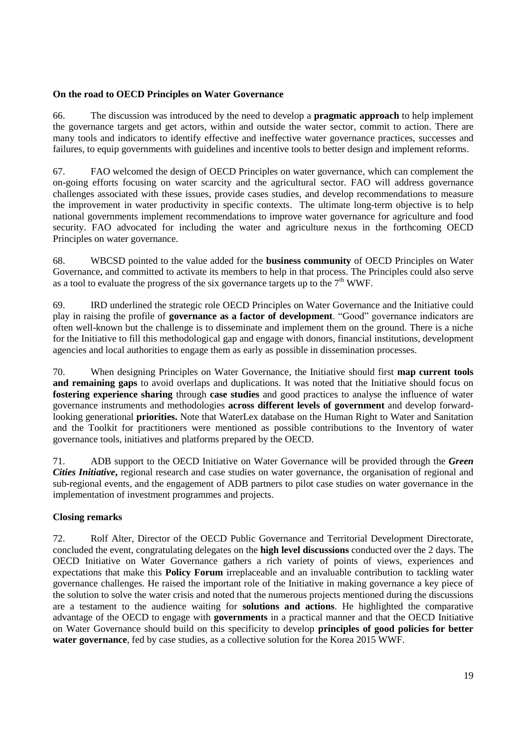#### <span id="page-18-0"></span>**On the road to OECD Principles on Water Governance**

66. The discussion was introduced by the need to develop a **pragmatic approach** to help implement the governance targets and get actors, within and outside the water sector, commit to action. There are many tools and indicators to identify effective and ineffective water governance practices, successes and failures, to equip governments with guidelines and incentive tools to better design and implement reforms.

67. FAO welcomed the design of OECD Principles on water governance, which can complement the on-going efforts focusing on water scarcity and the agricultural sector. FAO will address governance challenges associated with these issues, provide cases studies, and develop recommendations to measure the improvement in water productivity in specific contexts. The ultimate long-term objective is to help national governments implement recommendations to improve water governance for agriculture and food security. FAO advocated for including the water and agriculture nexus in the forthcoming OECD Principles on water governance.

68. WBCSD pointed to the value added for the **business community** of OECD Principles on Water Governance, and committed to activate its members to help in that process. The Principles could also serve as a tool to evaluate the progress of the six governance targets up to the  $7<sup>th</sup> WWF$ .

69. IRD underlined the strategic role OECD Principles on Water Governance and the Initiative could play in raising the profile of **governance as a factor of development**. "Good" governance indicators are often well-known but the challenge is to disseminate and implement them on the ground. There is a niche for the Initiative to fill this methodological gap and engage with donors, financial institutions, development agencies and local authorities to engage them as early as possible in dissemination processes.

70. When designing Principles on Water Governance, the Initiative should first **map current tools**  and remaining gaps to avoid overlaps and duplications. It was noted that the Initiative should focus on **fostering experience sharing** through **case studies** and good practices to analyse the influence of water governance instruments and methodologies **across different levels of government** and develop forwardlooking generational **priorities.** Note that WaterLex database on the Human Right to Water and Sanitation and the Toolkit for practitioners were mentioned as possible contributions to the Inventory of water governance tools, initiatives and platforms prepared by the OECD.

71. ADB support to the OECD Initiative on Water Governance will be provided through the *Green Cities Initiative***,** regional research and case studies on water governance, the organisation of regional and sub-regional events, and the engagement of ADB partners to pilot case studies on water governance in the implementation of investment programmes and projects.

## <span id="page-18-1"></span>**Closing remarks**

72. Rolf Alter, Director of the OECD Public Governance and Territorial Development Directorate, concluded the event, congratulating delegates on the **high level discussions** conducted over the 2 days. The OECD Initiative on Water Governance gathers a rich variety of points of views, experiences and expectations that make this **Policy Forum** irreplaceable and an invaluable contribution to tackling water governance challenges. He raised the important role of the Initiative in making governance a key piece of the solution to solve the water crisis and noted that the numerous projects mentioned during the discussions are a testament to the audience waiting for **solutions and actions**. He highlighted the comparative advantage of the OECD to engage with **governments** in a practical manner and that the OECD Initiative on Water Governance should build on this specificity to develop **principles of good policies for better water governance**, fed by case studies, as a collective solution for the Korea 2015 WWF.